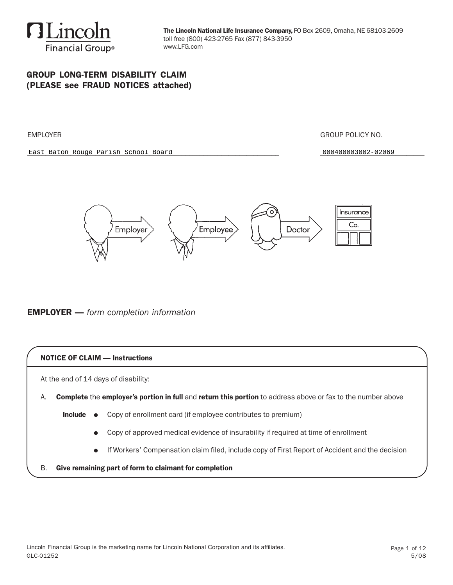

### GROUP LONG-TERM DISABILITY CLAIM (PLEASE see FRAUD NOTICES attached)

EMPLOYER GROUP POLICY NO.

East Baton Rouge Parish School Board **Department Control** 2000400003002-02069



### EMPLOYER — *form completion information*

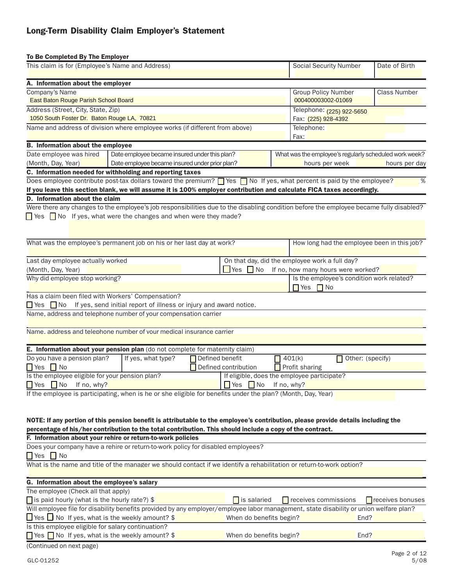# Long-Term Disability Claim Employer's Statement

| To Be Completed By The Employer                                                                                                         |                                                                    |                                                  |                                                                                 |                       |                                                        |
|-----------------------------------------------------------------------------------------------------------------------------------------|--------------------------------------------------------------------|--------------------------------------------------|---------------------------------------------------------------------------------|-----------------------|--------------------------------------------------------|
| This claim is for (Employee's Name and Address)                                                                                         |                                                                    |                                                  | <b>Social Security Number</b>                                                   |                       | Date of Birth                                          |
| A. Information about the employer                                                                                                       |                                                                    |                                                  |                                                                                 |                       |                                                        |
| Company's Name                                                                                                                          |                                                                    |                                                  | <b>Group Policy Number</b>                                                      |                       | <b>Class Number</b>                                    |
| East Baton Rouge Parish School Board                                                                                                    |                                                                    |                                                  | 000400003002-01069                                                              |                       |                                                        |
| Address (Street, City, State, Zip)                                                                                                      |                                                                    |                                                  | Telephone: (225) 922-5650                                                       |                       |                                                        |
| 1050 South Foster Dr. Baton Rouge LA, 70821                                                                                             |                                                                    |                                                  | Fax: (225) 928-4392                                                             |                       |                                                        |
| Name and address of division where employee works (if different from above)                                                             |                                                                    |                                                  | Telephone:                                                                      |                       |                                                        |
|                                                                                                                                         |                                                                    |                                                  | Fax:                                                                            |                       |                                                        |
| <b>B.</b> Information about the employee                                                                                                |                                                                    |                                                  |                                                                                 |                       |                                                        |
| Date employee was hired                                                                                                                 | Date employee became insured under this plan?                      |                                                  |                                                                                 |                       | What was the employee's regularly scheduled work week? |
| (Month, Day, Year)                                                                                                                      | Date employee became insured under prior plan?                     |                                                  | hours per week                                                                  |                       | hours per day                                          |
| C. Information needed for withholding and reporting taxes                                                                               |                                                                    |                                                  |                                                                                 |                       |                                                        |
| Does employee contribute post-tax dollars toward the premium? $\Box$ Yes $\Box$ No If yes, what percent is paid by the employee?        |                                                                    |                                                  |                                                                                 |                       | %                                                      |
| If you leave this section blank, we will assume it is 100% employer contribution and calculate FICA taxes accordingly.                  |                                                                    |                                                  |                                                                                 |                       |                                                        |
| D. Information about the claim                                                                                                          |                                                                    |                                                  |                                                                                 |                       |                                                        |
| Were there any changes to the employee's job responsibilities due to the disabling condition before the employee became fully disabled? |                                                                    |                                                  |                                                                                 |                       |                                                        |
| $\Box$ Yes $\Box$ No If yes, what were the changes and when were they made?                                                             |                                                                    |                                                  |                                                                                 |                       |                                                        |
|                                                                                                                                         |                                                                    |                                                  |                                                                                 |                       |                                                        |
|                                                                                                                                         |                                                                    |                                                  |                                                                                 |                       |                                                        |
| What was the employee's permanent job on his or her last day at work?                                                                   |                                                                    |                                                  |                                                                                 |                       | How long had the employee been in this job?            |
|                                                                                                                                         |                                                                    |                                                  | On that day, did the employee work a full day?                                  |                       |                                                        |
| Last day employee actually worked                                                                                                       |                                                                    | Yes $\blacksquare$ No                            |                                                                                 |                       |                                                        |
| (Month, Day, Year)<br>Why did employee stop working?                                                                                    |                                                                    |                                                  | If no, how many hours were worked?<br>Is the employee's condition work related? |                       |                                                        |
|                                                                                                                                         |                                                                    |                                                  | $\blacksquare$ Yes $\blacksquare$ No                                            |                       |                                                        |
| Has a claim been filed with Workers' Compensation?                                                                                      |                                                                    |                                                  |                                                                                 |                       |                                                        |
| $\blacksquare$ Yes $\blacksquare$ No                                                                                                    | If yes, send initial report of illness or injury and award notice. |                                                  |                                                                                 |                       |                                                        |
| Name, address and telephone number of your compensation carrier                                                                         |                                                                    |                                                  |                                                                                 |                       |                                                        |
|                                                                                                                                         |                                                                    |                                                  |                                                                                 |                       |                                                        |
| Name, address and telephone number of your medical insurance carrier                                                                    |                                                                    |                                                  |                                                                                 |                       |                                                        |
|                                                                                                                                         |                                                                    |                                                  |                                                                                 |                       |                                                        |
| E. Information about your pension plan (do not complete for maternity claim)                                                            |                                                                    |                                                  |                                                                                 |                       |                                                        |
| Do you have a pension plan?                                                                                                             | If yes, what type?                                                 | Defined benefit                                  | 401(k)                                                                          | Other: (specify)<br>П |                                                        |
| $\blacksquare$ Yes $\blacksquare$ No                                                                                                    |                                                                    | Defined contribution                             | Profit sharing                                                                  |                       |                                                        |
| Is the employee eligible for your pension plan?                                                                                         |                                                                    |                                                  | If eligible, does the employee participate?                                     |                       |                                                        |
| $\sqrt{\ }$ Yes $\sqrt{\ }$ No<br>If no, why?                                                                                           |                                                                    | $\blacksquare$ Yes $\blacksquare$ No If no, why? |                                                                                 |                       |                                                        |
| If the employee is participating, when is he or she eligible for benefits under the plan? (Month, Day, Year)                            |                                                                    |                                                  |                                                                                 |                       |                                                        |
|                                                                                                                                         |                                                                    |                                                  |                                                                                 |                       |                                                        |
|                                                                                                                                         |                                                                    |                                                  |                                                                                 |                       |                                                        |
| NOTE: If any portion of this pension benefit is attributable to the employee's contribution, please provide details including the       |                                                                    |                                                  |                                                                                 |                       |                                                        |
| percentage of his/her contribution to the total contribution. This should include a copy of the contract.                               |                                                                    |                                                  |                                                                                 |                       |                                                        |
| F. Information about your rehire or return-to-work policies                                                                             |                                                                    |                                                  |                                                                                 |                       |                                                        |
| Does your company have a rehire or return-to-work policy for disabled employees?                                                        |                                                                    |                                                  |                                                                                 |                       |                                                        |
| $\blacksquare$ Yes $\blacksquare$ No                                                                                                    |                                                                    |                                                  |                                                                                 |                       |                                                        |
| What is the name and title of the manager we should contact if we identify a rehabilitation or return-to-work option?                   |                                                                    |                                                  |                                                                                 |                       |                                                        |
|                                                                                                                                         |                                                                    |                                                  |                                                                                 |                       |                                                        |
| G. Information about the employee's salary                                                                                              |                                                                    |                                                  |                                                                                 |                       |                                                        |
| The employee (Check all that apply)                                                                                                     |                                                                    |                                                  |                                                                                 |                       |                                                        |
| $\Box$ is paid hourly (what is the hourly rate?) \$                                                                                     |                                                                    | is salaried                                      | $\blacksquare$ receives commissions                                             |                       | receives bonuses                                       |
| Will employee file for disability benefits provided by any employer/employee labor management, state disability or union welfare plan?  |                                                                    |                                                  |                                                                                 |                       |                                                        |
| $\Box$ Yes $\Box$ No If yes, what is the weekly amount? \$                                                                              |                                                                    | When do benefits begin?                          |                                                                                 | End?                  |                                                        |
| Is this employee eligible for salary continuation?                                                                                      |                                                                    |                                                  |                                                                                 |                       |                                                        |
| Yes No If yes, what is the weekly amount? \$                                                                                            |                                                                    | When do benefits begin?                          |                                                                                 | End?                  |                                                        |
| (Continued on next page)                                                                                                                |                                                                    |                                                  |                                                                                 |                       |                                                        |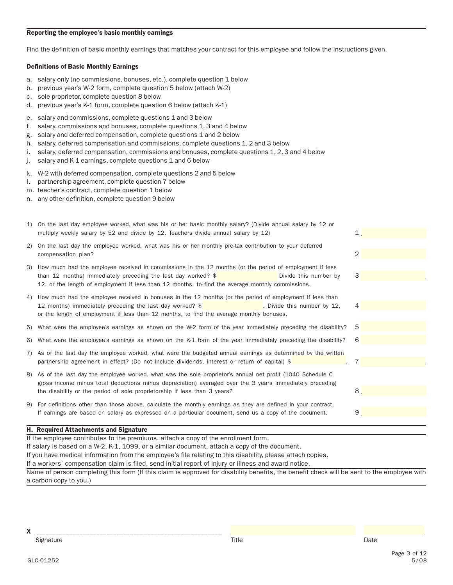#### Reporting the employee's basic monthly earnings

Find the definition of basic monthly earnings that matches your contract for this employee and follow the instructions given.

#### Definitions of Basic Monthly Earnings

- a. salary only (no commissions, bonuses, etc.), complete question 1 below
- b. previous year's W-2 form, complete question 5 below (attach W-2)
- c. sole proprietor, complete question 8 below
- d. previous year's K-1 form, complete question 6 below (attach K-1)
- e. salary and commissions, complete questions 1 and 3 below
- f. salary, commissions and bonuses, complete questions 1, 3 and 4 below
- g. salary and deferred compensation, complete questions 1 and 2 below
- h. salary, deferred compensation and commissions, complete questions 1, 2 and 3 below
- i. salary, deferred compensation, commissions and bonuses, complete questions 1, 2, 3 and 4 below
- j. salary and K-1 earnings, complete questions 1 and 6 below
- k. W-2 with deferred compensation, complete questions 2 and 5 below
- l. partnership agreement, complete question 7 below
- m. teacher's contract, complete question 1 below
- n. any other definition, complete question 9 below

|                                                                                                              | <b>H. Required Attachments and Signature</b>                                                                                                                                                                                                                                                         |   |  |  |  |  |  |
|--------------------------------------------------------------------------------------------------------------|------------------------------------------------------------------------------------------------------------------------------------------------------------------------------------------------------------------------------------------------------------------------------------------------------|---|--|--|--|--|--|
|                                                                                                              | If earnings are based on salary as expressed on a particular document, send us a copy of the document.                                                                                                                                                                                               | 9 |  |  |  |  |  |
|                                                                                                              | 9) For definitions other than those above, calculate the monthly earnings as they are defined in your contract.                                                                                                                                                                                      |   |  |  |  |  |  |
|                                                                                                              | 8) As of the last day the employee worked, what was the sole proprietor's annual net profit (1040 Schedule C<br>gross income minus total deductions minus depreciation) averaged over the 3 years immediately preceding<br>the disability or the period of sole proprietorship if less than 3 years? | 8 |  |  |  |  |  |
|                                                                                                              | partnership agreement in effect? (Do not include dividends, interest or return of capital) \$                                                                                                                                                                                                        | 7 |  |  |  |  |  |
|                                                                                                              | 7) As of the last day the employee worked, what were the budgeted annual earnings as determined by the written                                                                                                                                                                                       |   |  |  |  |  |  |
|                                                                                                              | 6) What were the employee's earnings as shown on the K-1 form of the year immediately preceding the disability?                                                                                                                                                                                      | 6 |  |  |  |  |  |
|                                                                                                              | 5) What were the employee's earnings as shown on the W-2 form of the year immediately preceding the disability?                                                                                                                                                                                      | 5 |  |  |  |  |  |
|                                                                                                              | 12 months) immediately preceding the last day worked? \$<br>. Divide this number by 12,<br>or the length of employment if less than 12 months, to find the average monthly bonuses.                                                                                                                  | 4 |  |  |  |  |  |
|                                                                                                              | 4) How much had the employee received in bonuses in the 12 months (or the period of employment if less than                                                                                                                                                                                          |   |  |  |  |  |  |
|                                                                                                              | than 12 months) immediately preceding the last day worked? $\frac{1}{2}$<br>Divide this number by<br>12, or the length of employment if less than 12 months, to find the average monthly commissions.                                                                                                | 3 |  |  |  |  |  |
|                                                                                                              | 3) How much had the employee received in commissions in the 12 months (or the period of employment if less                                                                                                                                                                                           |   |  |  |  |  |  |
|                                                                                                              | 2) On the last day the employee worked, what was his or her monthly pre-tax contribution to your deferred<br>compensation plan?                                                                                                                                                                      | 2 |  |  |  |  |  |
|                                                                                                              | multiply weekly salary by 52 and divide by 12. Teachers divide annual salary by 12)                                                                                                                                                                                                                  | 1 |  |  |  |  |  |
| 1) On the last day employee worked, what was his or her basic monthly salary? (Divide annual salary by 12 or |                                                                                                                                                                                                                                                                                                      |   |  |  |  |  |  |

If the employee contributes to the premiums, attach a copy of the enrollment form.

If salary is based on a W-2, K-1, 1099, or a similar document, attach a copy of the document.

If you have medical information from the employee's file relating to this disability, please attach copies.

If a workers' compensation claim is filed, send initial report of injury or illness and award notice.

Name of person completing this form (If this claim is approved for disability benefits, the benefit check will be sent to the employee with a carbon copy to you.)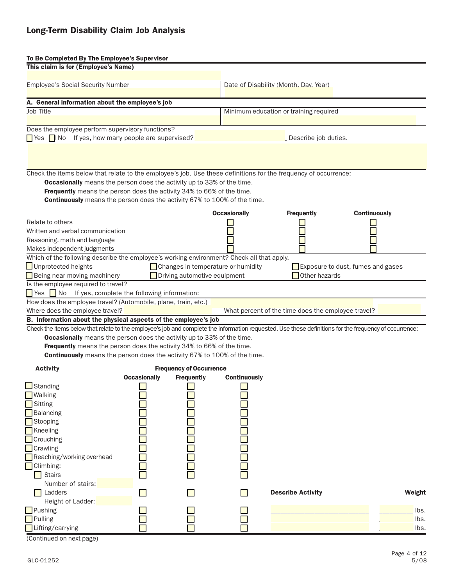#### To Be Completed By The Employee's Supervisor

| This claim is for (Employee's Name)                                                                                                                                                                                                                                                                                                                          |                          |                                                                    |                                          |                                                    |                                   |
|--------------------------------------------------------------------------------------------------------------------------------------------------------------------------------------------------------------------------------------------------------------------------------------------------------------------------------------------------------------|--------------------------|--------------------------------------------------------------------|------------------------------------------|----------------------------------------------------|-----------------------------------|
| <b>Employee's Social Security Number</b>                                                                                                                                                                                                                                                                                                                     |                          |                                                                    |                                          | Date of Disability (Month. Dav. Year)              |                                   |
| A. General information about the employee's job                                                                                                                                                                                                                                                                                                              |                          |                                                                    |                                          |                                                    |                                   |
| Job Title                                                                                                                                                                                                                                                                                                                                                    |                          |                                                                    |                                          | Minimum education or training required             |                                   |
| Does the employee perform supervisory functions?<br>$\Box$ Yes $\Box$ No If yes, how many people are supervised? $\Box$                                                                                                                                                                                                                                      |                          |                                                                    |                                          | Describe job duties.                               |                                   |
| Check the items below that relate to the employee's job. Use these definitions for the frequency of occurrence:<br><b>Occasionally</b> means the person does the activity up to 33% of the time.<br>Frequently means the person does the activity 34% to 66% of the time.<br><b>Continuously</b> means the person does the activity 67% to 100% of the time. |                          |                                                                    |                                          |                                                    |                                   |
| Relate to others<br>Written and verbal communication<br>Reasoning, math and language<br>Makes independent judgments                                                                                                                                                                                                                                          |                          | <b>Occasionally</b>                                                | <b>Frequently</b><br><b>Continuously</b> |                                                    |                                   |
| Which of the following describe the employee's working environment? Check all that apply.<br>Unprotected heights<br>Being near moving machinery<br>Is the employee required to travel?                                                                                                                                                                       |                          | Changes in temperature or humidity<br>Driving automotive equipment |                                          | Other hazards                                      | Exposure to dust, fumes and gases |
| If yes, complete the following information:<br>$Yes$ No                                                                                                                                                                                                                                                                                                      |                          |                                                                    |                                          |                                                    |                                   |
| How does the employee travel? (Automobile, plane, train, etc.)                                                                                                                                                                                                                                                                                               |                          |                                                                    |                                          |                                                    |                                   |
| Where does the employee travel?                                                                                                                                                                                                                                                                                                                              |                          |                                                                    |                                          | What percent of the time does the employee travel? |                                   |
| B. Information about the physical aspects of the employee's job                                                                                                                                                                                                                                                                                              |                          |                                                                    |                                          |                                                    |                                   |
| Check the items below that relate to the employee's job and complete the information requested. Use these definitions for the frequency of occurrence:                                                                                                                                                                                                       |                          |                                                                    |                                          |                                                    |                                   |
| <b>Occasionally</b> means the person does the activity up to 33% of the time.                                                                                                                                                                                                                                                                                |                          |                                                                    |                                          |                                                    |                                   |
| Frequently means the person does the activity 34% to 66% of the time.                                                                                                                                                                                                                                                                                        |                          |                                                                    |                                          |                                                    |                                   |
| <b>Continuously</b> means the person does the activity 67% to 100% of the time.                                                                                                                                                                                                                                                                              |                          |                                                                    |                                          |                                                    |                                   |
| <b>Activity</b>                                                                                                                                                                                                                                                                                                                                              |                          | <b>Frequency of Occurrence</b>                                     |                                          |                                                    |                                   |
|                                                                                                                                                                                                                                                                                                                                                              | <b>Occasionally</b>      | <b>Frequently</b>                                                  | <b>Continuously</b>                      |                                                    |                                   |
| $\Box$ Standing<br><b>Walking</b><br><b>□</b> Sitting<br>Balancing                                                                                                                                                                                                                                                                                           |                          |                                                                    |                                          |                                                    |                                   |
| Stooping<br>Kneeling<br>Crouching<br><b>Crawling</b>                                                                                                                                                                                                                                                                                                         |                          |                                                                    |                                          |                                                    |                                   |
| Reaching/working overhead<br>Climbing:<br><b>Stairs</b>                                                                                                                                                                                                                                                                                                      |                          |                                                                    |                                          |                                                    |                                   |
| Number of stairs:<br>Ladders<br>Height of Ladder:                                                                                                                                                                                                                                                                                                            | $\overline{\phantom{0}}$ |                                                                    | П                                        | <b>Describe Activity</b>                           | Weight                            |
| Pushing<br>Pulling<br>Lifting/carrying                                                                                                                                                                                                                                                                                                                       |                          |                                                                    |                                          |                                                    | lbs.<br>lbs.<br>lbs.              |

(Continued on next page)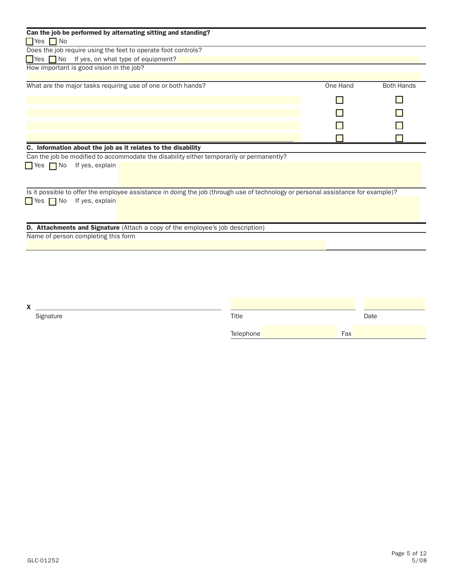| Can the job be performed by alternating sitting and standing?                                                                    |          |                   |
|----------------------------------------------------------------------------------------------------------------------------------|----------|-------------------|
| <b>Nes</b> No                                                                                                                    |          |                   |
| Does the job require using the feet to operate foot controls?                                                                    |          |                   |
| $\blacksquare$ Yes $\blacksquare$ No If yes, on what type of equipment?                                                          |          |                   |
| How important is good vision in the job?                                                                                         |          |                   |
|                                                                                                                                  |          |                   |
| What are the major tasks requiring use of one or both hands?                                                                     | One Hand | <b>Both Hands</b> |
|                                                                                                                                  |          |                   |
|                                                                                                                                  |          |                   |
|                                                                                                                                  |          |                   |
|                                                                                                                                  |          |                   |
| C. Information about the job as it relates to the disability                                                                     |          |                   |
| Can the job be modified to accommodate the disability either temporarily or permanently?                                         |          |                   |
| $\blacksquare$ Yes $\blacksquare$ No<br>If yes, explain                                                                          |          |                   |
|                                                                                                                                  |          |                   |
|                                                                                                                                  |          |                   |
| Is it possible to offer the employee assistance in doing the job (through use of technology or personal assistance for example)? |          |                   |
| If yes, explain<br>$\blacksquare$ Yes $\blacksquare$ No                                                                          |          |                   |
|                                                                                                                                  |          |                   |
|                                                                                                                                  |          |                   |
| D. Attachments and Signature (Attach a copy of the employee's job description)                                                   |          |                   |
| Name of person completing this form                                                                                              |          |                   |
|                                                                                                                                  |          |                   |
|                                                                                                                                  |          |                   |
|                                                                                                                                  |          |                   |

| $\overline{\phantom{a}}$<br>$\lambda$ | _________________ |           |     |      |
|---------------------------------------|-------------------|-----------|-----|------|
|                                       | Signature         | Title     |     | Date |
|                                       |                   | Telephone | Fax |      |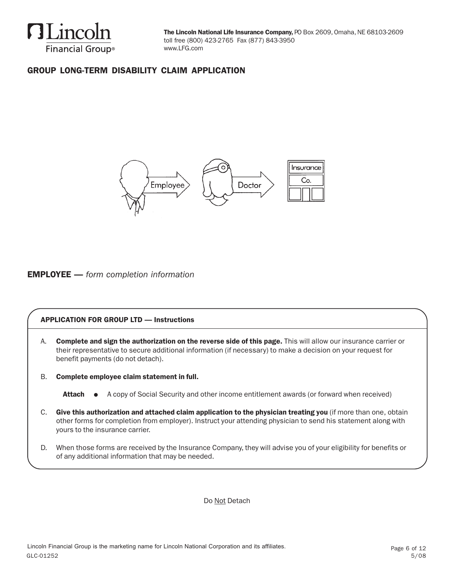

## GROUP LONG-TERM DISABILITY CLAIM APPLICATION



### EMPLOYEE — *form completion information*

### APPLICATION FOR GROUP LTD — Instructions

A. Complete and sign the authorization on the reverse side of this page. This will allow our insurance carrier or their representative to secure additional information (if necessary) to make a decision on your request for benefit payments (do not detach).

B. Complete employee claim statement in full.

- C. Give this authorization and attached claim application to the physician treating you (if more than one, obtain other forms for completion from employer). Instruct your attending physician to send his statement along with yours to the insurance carrier.
- D. When those forms are received by the Insurance Company, they will advise you of your eligibility for benefits or of any additional information that may be needed.

Do Not Detach

Attach ● A copy of Social Security and other income entitlement awards (or forward when received)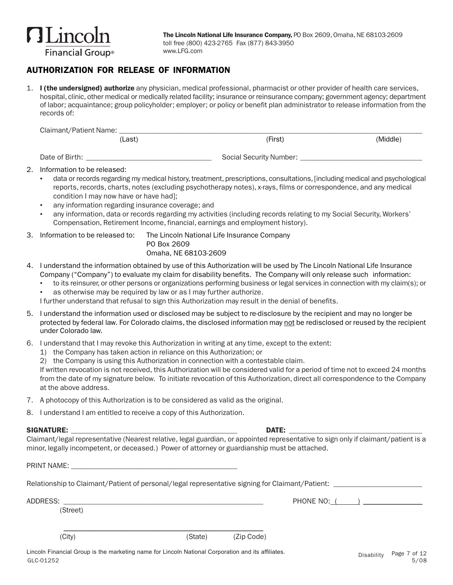

### AUTHORIZATION FOR RELEASE OF INFORMATION

1. I (the undersigned) authorize any physician, medical professional, pharmacist or other provider of health care services, hospital, clinic, other medical or medically related facility; insurance or reinsurance company; government agency; department of labor; acquaintance; group policyholder; employer; or policy or benefit plan administrator to release information from the records of:

| Claimant/Patient Name: |        |                         |          |
|------------------------|--------|-------------------------|----------|
|                        | (Last) | (First)                 | (Middle) |
| Date of Birth:         |        | Social Security Number: |          |

- 2. Information to be released:
	- data or records regarding my medical history, treatment, prescriptions, consultations, [including medical and psychological reports, records, charts, notes (excluding psychotherapy notes), x-rays, films or correspondence, and any medical condition I may now have or have had];
	- any information regarding insurance coverage; and
	- any information, data or records regarding my activities (including records relating to my Social Security, Workers' Compensation, Retirement Income, financial, earnings and employment history).
- 3. Information to be released to: The Lincoln National Life Insurance Company

- PO Box 2609 Omaha, NE 68103-2609
- 4. I understand the information obtained by use of this Authorization will be used by The Lincoln National Life Insurance Company ("Company") to evaluate my claim for disability benefits. The Company will only release such information:
	- to its reinsurer, or other persons or organizations performing business or legal services in connection with my claim(s); or
	- as otherwise may be required by law or as I may further authorize.

I further understand that refusal to sign this Authorization may result in the denial of benefits.

- 5. I understand the information used or disclosed may be subject to re-disclosure by the recipient and may no longer be protected by federal law. For Colorado claims, the disclosed information may not be redisclosed or reused by the recipient under Colorado law.
- 6. I understand that I may revoke this Authorization in writing at any time, except to the extent:
	- 1) the Company has taken action in reliance on this Authorization; or
	- 2) the Company is using this Authorization in connection with a contestable claim.

If written revocation is not received, this Authorization will be considered valid for a period of time not to exceed 24 months from the date of my signature below. To initiate revocation of this Authorization, direct all correspondence to the Company at the above address.

- 7. A photocopy of this Authorization is to be considered as valid as the original.
- 8. I understand I am entitled to receive a copy of this Authorization.

### SIGNATURE: \_\_\_\_\_\_\_\_\_\_\_\_\_\_\_\_\_\_\_\_\_\_\_\_\_\_\_\_\_\_\_\_\_\_\_\_\_\_\_\_\_\_\_\_\_ DATE: \_\_\_\_\_\_\_\_\_\_\_\_\_\_\_\_\_\_\_\_\_\_\_\_\_\_\_\_\_\_\_\_\_\_\_\_

Claimant/legal representative (Nearest relative, legal guardian, or appointed representative to sign only if claimant/patient is a minor, legally incompetent, or deceased.) Power of attorney or guardianship must be attached.

PRINT NAME:

Relationship to Claimant/Patient of personal/legal representative signing for Claimant/Patient:

ADDRESS: \_\_\_\_\_\_\_\_\_\_\_\_\_\_\_\_\_\_\_\_\_\_\_\_\_\_\_\_\_\_\_\_\_\_\_\_\_\_\_\_\_\_\_\_\_\_\_\_\_\_\_\_\_\_ PHONE NO: ( ) \_\_\_\_\_\_\_\_\_\_\_\_\_\_\_\_

(Street)

\_\_\_\_\_\_\_\_\_\_\_\_\_\_\_\_\_\_\_\_\_\_\_\_\_\_\_\_\_\_\_\_\_\_\_\_\_\_\_\_\_\_\_\_\_\_\_\_\_\_\_\_\_\_

(City) (State) (Zip Code)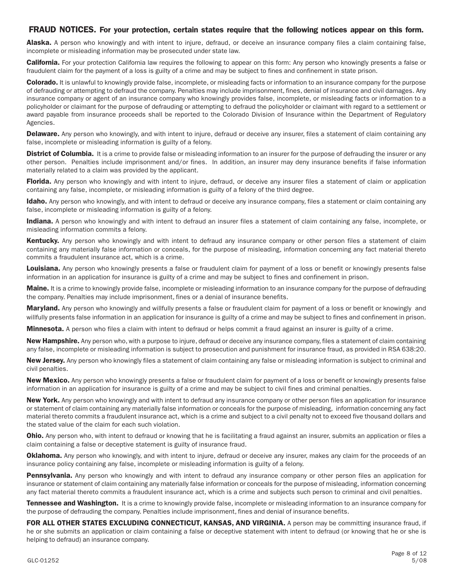### FRAUD NOTICES. For your protection, certain states require that the following notices appear on this form.

Alaska. A person who knowingly and with intent to injure, defraud, or deceive an insurance company files a claim containing false, incomplete or misleading information may be prosecuted under state law.

**California.** For your protection California law requires the following to appear on this form: Any person who knowingly presents a false or fraudulent claim for the payment of a loss is guilty of a crime and may be subject to fines and confinement in state prison.

**Colorado.** It is unlawful to knowingly provide false, incomplete, or misleading facts or information to an insurance company for the purpose of defrauding or attempting to defraud the company. Penalties may include imprisonment, fines, denial of insurance and civil damages. Any insurance company or agent of an insurance company who knowingly provides false, incomplete, or misleading facts or information to a policyholder or claimant for the purpose of defrauding or attempting to defraud the policyholder or claimant with regard to a settlement or award payable from insurance proceeds shall be reported to the Colorado Division of Insurance within the Department of Regulatory Agencies.

Delaware. Any person who knowingly, and with intent to injure, defraud or deceive any insurer, files a statement of claim containing any false, incomplete or misleading information is guilty of a felony.

**District of Columbia.** It is a crime to provide false or misleading information to an insurer for the purpose of defrauding the insurer or any other person. Penalties include imprisonment and/or fines. In addition, an insurer may deny insurance benefits if false information materially related to a claim was provided by the applicant.

Florida. Any person who knowingly and with intent to injure, defraud, or deceive any insurer files a statement of claim or application containing any false, incomplete, or misleading information is guilty of a felony of the third degree.

Idaho. Any person who knowingly, and with intent to defraud or deceive any insurance company, files a statement or claim containing any false, incomplete or misleading information is guilty of a felony.

Indiana. A person who knowingly and with intent to defraud an insurer files a statement of claim containing any false, incomplete, or misleading information commits a felony.

Kentucky. Any person who knowingly and with intent to defraud any insurance company or other person files a statement of claim containing any materially false information or conceals, for the purpose of misleading, information concerning any fact material thereto commits a fraudulent insurance act, which is a crime.

Louisiana. Any person who knowingly presents a false or fraudulent claim for payment of a loss or benefit or knowingly presents false information in an application for insurance is guilty of a crime and may be subject to fines and confinement in prison.

**Maine.** It is a crime to knowingly provide false, incomplete or misleading information to an insurance company for the purpose of defrauding the company. Penalties may include imprisonment, fines or a denial of insurance benefits.

Maryland. Any person who knowingly and willfully presents a false or fraudulent claim for payment of a loss or benefit or knowingly and willfully presents false information in an application for insurance is guilty of a crime and may be subject to fines and confinement in prison.

Minnesota. A person who files a claim with intent to defraud or helps commit a fraud against an insurer is guilty of a crime.

New Hampshire. Any person who, with a purpose to injure, defraud or deceive any insurance company, files a statement of claim containing any false, incomplete or misleading information is subject to prosecution and punishment for insurance fraud, as provided in RSA 638:20.

New Jersey. Any person who knowingly files a statement of claim containing any false or misleading information is subject to criminal and civil penalties.

New Mexico. Any person who knowingly presents a false or fraudulent claim for payment of a loss or benefit or knowingly presents false information in an application for insurance is guilty of a crime and may be subject to civil fines and criminal penalties.

New York. Any person who knowingly and with intent to defraud any insurance company or other person files an application for insurance or statement of claim containing any materially false information or conceals for the purpose of misleading, information concerning any fact material thereto commits a fraudulent insurance act, which is a crime and subject to a civil penalty not to exceed five thousand dollars and the stated value of the claim for each such violation.

**Ohio.** Any person who, with intent to defraud or knowing that he is facilitating a fraud against an insurer, submits an application or files a claim containing a false or deceptive statement is guilty of insurance fraud.

**Oklahoma.** Any person who knowingly, and with intent to injure, defraud or deceive any insurer, makes any claim for the proceeds of an insurance policy containing any false, incomplete or misleading information is guilty of a felony.

Pennsylvania. Any person who knowingly and with intent to defraud any insurance company or other person files an application for insurance or statement of claim containing any materially false information or conceals for the purpose of misleading, information concerning any fact material thereto commits a fraudulent insurance act, which is a crime and subjects such person to criminal and civil penalties.

Tennessee and Washington. It is a crime to knowingly provide false, incomplete or misleading information to an insurance company for the purpose of defrauding the company. Penalties include imprisonment, fines and denial of insurance benefits.

FOR ALL OTHER STATES EXCLUDING CONNECTICUT, KANSAS, AND VIRGINIA. A person may be committing insurance fraud, if he or she submits an application or claim containing a false or deceptive statement with intent to defraud (or knowing that he or she is helping to defraud) an insurance company.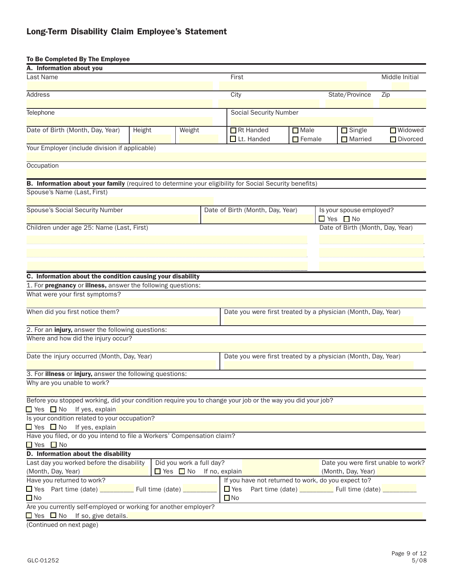# Long-Term Disability Claim Employee's Statement

### To Be Completed By The Employee

| A. Information about you                                                                                                              |        |                                     |                    |                                                     |                       |                                                               |                                     |
|---------------------------------------------------------------------------------------------------------------------------------------|--------|-------------------------------------|--------------------|-----------------------------------------------------|-----------------------|---------------------------------------------------------------|-------------------------------------|
| Last Name                                                                                                                             |        |                                     | First              |                                                     |                       |                                                               | Middle Initial                      |
|                                                                                                                                       |        |                                     |                    |                                                     |                       |                                                               |                                     |
| Address                                                                                                                               |        |                                     | City               |                                                     |                       | State/Province                                                | Zip                                 |
| Telephone                                                                                                                             |        |                                     |                    | <b>Social Security Number</b>                       |                       |                                                               |                                     |
|                                                                                                                                       |        |                                     |                    |                                                     |                       |                                                               |                                     |
| Date of Birth (Month, Day, Year)                                                                                                      | Height | Weight                              |                    | Rt Handed                                           | Male                  | Single                                                        | <b>Widowed</b>                      |
|                                                                                                                                       |        |                                     |                    | $\Box$ Lt. Handed                                   | $\blacksquare$ Female | Married                                                       | Divorced                            |
| Your Employer (include division if applicable)                                                                                        |        |                                     |                    |                                                     |                       |                                                               |                                     |
|                                                                                                                                       |        |                                     |                    |                                                     |                       |                                                               |                                     |
| Occupation                                                                                                                            |        |                                     |                    |                                                     |                       |                                                               |                                     |
|                                                                                                                                       |        |                                     |                    |                                                     |                       |                                                               |                                     |
| B. Information about your family (required to determine your eligibility for Social Security benefits)<br>Spouse's Name (Last, First) |        |                                     |                    |                                                     |                       |                                                               |                                     |
|                                                                                                                                       |        |                                     |                    |                                                     |                       |                                                               |                                     |
| <b>Spouse's Social Security Number</b>                                                                                                |        |                                     |                    | Date of Birth (Month, Day, Year)                    |                       | Is your spouse employed?                                      |                                     |
|                                                                                                                                       |        |                                     |                    |                                                     |                       | $\blacksquare$ Yes $\blacksquare$ No                          |                                     |
| Children under age 25: Name (Last, First)                                                                                             |        |                                     |                    |                                                     |                       | Date of Birth (Month, Day, Year)                              |                                     |
|                                                                                                                                       |        |                                     |                    |                                                     |                       |                                                               |                                     |
|                                                                                                                                       |        |                                     |                    |                                                     |                       |                                                               |                                     |
|                                                                                                                                       |        |                                     |                    |                                                     |                       |                                                               |                                     |
|                                                                                                                                       |        |                                     |                    |                                                     |                       |                                                               |                                     |
| C. Information about the condition causing your disability                                                                            |        |                                     |                    |                                                     |                       |                                                               |                                     |
| 1. For pregnancy or illness, answer the following questions:                                                                          |        |                                     |                    |                                                     |                       |                                                               |                                     |
| What were your first symptoms?                                                                                                        |        |                                     |                    |                                                     |                       |                                                               |                                     |
|                                                                                                                                       |        |                                     |                    |                                                     |                       |                                                               |                                     |
| When did you first notice them?                                                                                                       |        |                                     |                    |                                                     |                       | Date you were first treated by a physician (Month, Day, Year) |                                     |
|                                                                                                                                       |        |                                     |                    |                                                     |                       |                                                               |                                     |
| 2. For an injury, answer the following questions:                                                                                     |        |                                     |                    |                                                     |                       |                                                               |                                     |
| Where and how did the injury occur?                                                                                                   |        |                                     |                    |                                                     |                       |                                                               |                                     |
|                                                                                                                                       |        |                                     |                    |                                                     |                       |                                                               |                                     |
| Date the injury occurred (Month, Day, Year)                                                                                           |        |                                     |                    |                                                     |                       | Date you were first treated by a physician (Month, Day, Year) |                                     |
|                                                                                                                                       |        |                                     |                    |                                                     |                       |                                                               |                                     |
| 3. For illness or injury, answer the following questions:                                                                             |        |                                     |                    |                                                     |                       |                                                               |                                     |
| Why are you unable to work?                                                                                                           |        |                                     |                    |                                                     |                       |                                                               |                                     |
|                                                                                                                                       |        |                                     |                    |                                                     |                       |                                                               |                                     |
| Before you stopped working, did your condition require you to change your job or the way you did your job?                            |        |                                     |                    |                                                     |                       |                                                               |                                     |
| $\Box$ Yes $\Box$ No If yes, explain                                                                                                  |        |                                     |                    |                                                     |                       |                                                               |                                     |
| Is your condition related to your occupation?                                                                                         |        |                                     |                    |                                                     |                       |                                                               |                                     |
| $\Box$ Yes $\Box$ No If yes, explain                                                                                                  |        |                                     |                    |                                                     |                       |                                                               |                                     |
| Have you filed, or do you intend to file a Workers' Compensation claim?                                                               |        |                                     |                    |                                                     |                       |                                                               |                                     |
| $\blacksquare$ Yes $\blacksquare$ No                                                                                                  |        |                                     |                    |                                                     |                       |                                                               |                                     |
| D. Information about the disability                                                                                                   |        |                                     |                    |                                                     |                       |                                                               |                                     |
| Last day you worked before the disability                                                                                             |        | Did you work a full day?            |                    |                                                     |                       |                                                               | Date you were first unable to work? |
| (Month, Day, Year)                                                                                                                    |        | $\Box$ Yes $\Box$ No If no, explain |                    |                                                     |                       | (Month, Day, Year)                                            |                                     |
| Have you returned to work?                                                                                                            |        |                                     |                    | If you have not returned to work, do you expect to? |                       |                                                               |                                     |
| ■ Yes Part time (date) <u>_________</u> Full time (date) ___                                                                          |        |                                     | $\blacksquare$ Yes |                                                     |                       | Part time (date) ___________ Full time (date) ___             |                                     |
| $\Box$ No                                                                                                                             |        |                                     | $\Box$ No          |                                                     |                       |                                                               |                                     |
| Are you currently self-employed or working for another employer?                                                                      |        |                                     |                    |                                                     |                       |                                                               |                                     |
| $\Box$ Yes $\Box$ No If so, give details.                                                                                             |        |                                     |                    |                                                     |                       |                                                               |                                     |

(Continued on next page)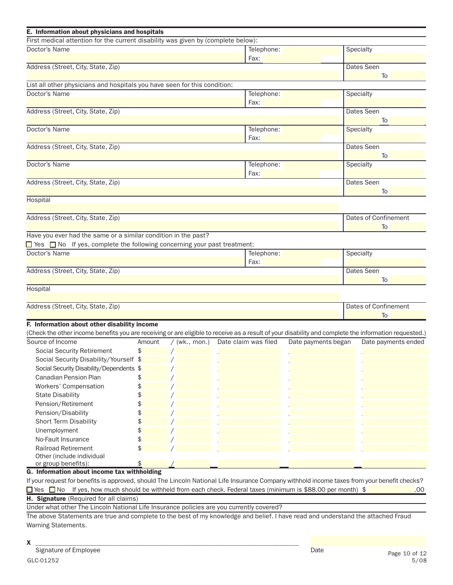| E. Information about physicians and hospitals                                                                                                         |        |                 |            |                      |                     |           |                             |
|-------------------------------------------------------------------------------------------------------------------------------------------------------|--------|-----------------|------------|----------------------|---------------------|-----------|-----------------------------|
| First medical attention for the current disability was given by (complete below):                                                                     |        |                 |            |                      |                     |           |                             |
| Doctor's Name<br>Telephone:<br>Fax:                                                                                                                   |        |                 |            |                      |                     |           | Specialty                   |
| Address (Street, City, State, Zip)                                                                                                                    |        |                 | Dates Seen |                      |                     |           |                             |
|                                                                                                                                                       |        |                 |            |                      |                     |           | To                          |
| List all other physicians and hospitals you have seen for this condition:                                                                             |        |                 |            |                      |                     |           |                             |
| Doctor's Name                                                                                                                                         |        |                 |            | Telephone:           |                     | Specialty |                             |
|                                                                                                                                                       |        |                 |            | Fax:                 |                     |           |                             |
| Address (Street, City, State, Zip)                                                                                                                    |        |                 |            |                      |                     |           | Dates Seen                  |
|                                                                                                                                                       |        |                 |            |                      |                     |           | To                          |
| Doctor's Name                                                                                                                                         |        |                 |            | Telephone:           |                     | Specialty |                             |
|                                                                                                                                                       |        |                 |            | Fax:                 |                     |           |                             |
| Address (Street, City, State, Zip)                                                                                                                    |        |                 |            |                      |                     |           | Dates Seen<br>To            |
| Doctor's Name                                                                                                                                         |        |                 |            | Telephone:           |                     | Specialty |                             |
|                                                                                                                                                       |        |                 |            | Fax:                 |                     |           |                             |
| Address (Street, City, State, Zip)                                                                                                                    |        |                 |            |                      |                     |           | Dates Seen                  |
|                                                                                                                                                       |        |                 |            |                      |                     |           | To                          |
| Hospital                                                                                                                                              |        |                 |            |                      |                     |           |                             |
|                                                                                                                                                       |        |                 |            |                      |                     |           |                             |
| Address (Street, City, State, Zip)                                                                                                                    |        |                 |            |                      |                     |           | <b>Dates of Confinement</b> |
|                                                                                                                                                       |        |                 |            |                      |                     |           | To                          |
| Have you ever had the same or a similar condition in the past?                                                                                        |        |                 |            |                      |                     |           |                             |
| □ Yes □ No If yes, complete the following concerning your past treatment:                                                                             |        |                 |            |                      |                     |           |                             |
| Doctor's Name                                                                                                                                         |        |                 |            | Telephone:           |                     | Specialty |                             |
|                                                                                                                                                       |        |                 |            | Fax:                 |                     |           |                             |
| Address (Street, City, State, Zip)                                                                                                                    |        |                 |            |                      |                     |           | Dates Seen                  |
|                                                                                                                                                       |        |                 |            |                      |                     |           | To                          |
| Hospital                                                                                                                                              |        |                 |            |                      |                     |           |                             |
| Address (Street, City, State, Zip)                                                                                                                    |        |                 |            |                      |                     |           | Dates of Confinement        |
|                                                                                                                                                       |        |                 |            |                      |                     |           | To                          |
| F. Information about other disability income                                                                                                          |        |                 |            |                      |                     |           |                             |
| (Check the other income benefits you are receiving or are eligible to receive as a result of your disability and complete the information requested.) |        |                 |            |                      |                     |           |                             |
| Source of Income                                                                                                                                      | Amount | $/$ (wk., mon.) |            | Date claim was filed | Date payments began |           | Date payments ended         |
| <b>Social Security Retirement</b>                                                                                                                     | \$     |                 |            |                      |                     |           |                             |
| Social Security Disability/Yourself \$                                                                                                                |        |                 |            |                      |                     |           |                             |
| Social Security Disability/Dependents \$                                                                                                              |        |                 |            |                      |                     |           |                             |
| <b>Canadian Pension Plan</b>                                                                                                                          |        |                 |            |                      |                     |           |                             |
| Workers' Compensation                                                                                                                                 | \$     |                 |            |                      |                     |           |                             |
| <b>State Disability</b>                                                                                                                               | \$     |                 |            |                      |                     |           |                             |
| Pension/Retirement                                                                                                                                    | \$     |                 |            |                      |                     |           |                             |
| Pension/Disability                                                                                                                                    | \$     |                 |            |                      |                     |           |                             |
| Short Term Disability                                                                                                                                 | \$     |                 |            |                      |                     |           |                             |
| Unemployment                                                                                                                                          | \$     |                 |            |                      |                     |           |                             |
| No-Fault Insurance                                                                                                                                    | \$     |                 |            |                      |                     |           |                             |
| <b>Railroad Retirement</b>                                                                                                                            | \$     |                 |            |                      |                     |           |                             |
| Other (include individual                                                                                                                             |        |                 |            |                      |                     |           |                             |
| or group benefits):                                                                                                                                   | \$     |                 |            |                      |                     |           |                             |
| G. Information about income tax withholding                                                                                                           |        |                 |            |                      |                     |           |                             |
| If your request for benefits is approved, should The Lincoln National Life Insurance Company withhold income taxes from your benefit checks?          |        |                 |            |                      |                     |           |                             |

|  | The Section of the s, how much should be withheld from each check. Federal taxes (minimum is \$88.00 per month) \$ | .00 |
|--|--------------------------------------------------------------------------------------------------------------------|-----|

H. Signature (Required for all claims)

Under what other The Lincoln National Life Insurance policies are you currently covered?

The above Statements are true and complete to the best of my knowledge and belief. I have read and understand the attached Fraud Warning Statements.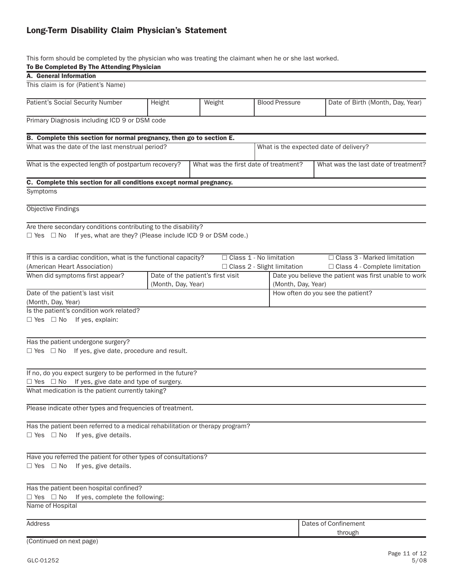## Long-Term Disability Claim Physician's Statement

This form should be completed by the physician who was treating the claimant when he or she last worked.

#### To Be Completed By The Attending Physician

| $\sigma$ De outrigheded by The Additional Provincial<br>A. General Information                      |                                   |                    |  |                                       |                                                       |  |  |
|-----------------------------------------------------------------------------------------------------|-----------------------------------|--------------------|--|---------------------------------------|-------------------------------------------------------|--|--|
|                                                                                                     |                                   |                    |  |                                       |                                                       |  |  |
| This claim is for (Patient's Name)                                                                  |                                   |                    |  |                                       |                                                       |  |  |
| Patient's Social Security Number                                                                    | Height                            | Weight             |  | <b>Blood Pressure</b>                 | Date of Birth (Month, Day, Year)                      |  |  |
| Primary Diagnosis including ICD 9 or DSM code                                                       |                                   |                    |  |                                       |                                                       |  |  |
| B. Complete this section for normal pregnancy, then go to section E.                                |                                   |                    |  |                                       |                                                       |  |  |
| What was the date of the last menstrual period?                                                     |                                   |                    |  |                                       | What is the expected date of delivery?                |  |  |
|                                                                                                     |                                   |                    |  |                                       |                                                       |  |  |
| What is the expected length of postpartum recovery?                                                 |                                   |                    |  | What was the first date of treatment? | What was the last date of treatment?                  |  |  |
| C. Complete this section for all conditions except normal pregnancy.                                |                                   |                    |  |                                       |                                                       |  |  |
| Symptoms                                                                                            |                                   |                    |  |                                       |                                                       |  |  |
| Objective Findings                                                                                  |                                   |                    |  |                                       |                                                       |  |  |
| Are there secondary conditions contributing to the disability?                                      |                                   |                    |  |                                       |                                                       |  |  |
| $\Box$ Yes $\Box$ No If yes, what are they? (Please include ICD 9 or DSM code.)                     |                                   |                    |  |                                       |                                                       |  |  |
|                                                                                                     |                                   |                    |  |                                       |                                                       |  |  |
| If this is a cardiac condition, what is the functional capacity?                                    |                                   |                    |  | □ Class 1 - No limitation             | □ Class 3 - Marked limitation                         |  |  |
| (American Heart Association)                                                                        |                                   |                    |  | □ Class 2 - Slight limitation         | □ Class 4 - Complete limitation                       |  |  |
| When did symptoms first appear?                                                                     | Date of the patient's first visit |                    |  |                                       | Date you believe the patient was first unable to work |  |  |
|                                                                                                     |                                   | (Month, Day, Year) |  |                                       | (Month, Day, Year)                                    |  |  |
| Date of the patient's last visit                                                                    |                                   |                    |  | How often do you see the patient?     |                                                       |  |  |
| (Month, Day, Year)                                                                                  |                                   |                    |  |                                       |                                                       |  |  |
| Is the patient's condition work related?                                                            |                                   |                    |  |                                       |                                                       |  |  |
| $\Box$ Yes $\Box$ No If yes, explain:                                                               |                                   |                    |  |                                       |                                                       |  |  |
|                                                                                                     |                                   |                    |  |                                       |                                                       |  |  |
| Has the patient undergone surgery?<br>$\Box$ Yes $\Box$ No If yes, give date, procedure and result. |                                   |                    |  |                                       |                                                       |  |  |
|                                                                                                     |                                   |                    |  |                                       |                                                       |  |  |
| If no, do you expect surgery to be performed in the future?                                         |                                   |                    |  |                                       |                                                       |  |  |
| $\Box$ Yes $\Box$ No If yes, give date and type of surgery.                                         |                                   |                    |  |                                       |                                                       |  |  |
| What medication is the patient currently taking?                                                    |                                   |                    |  |                                       |                                                       |  |  |
|                                                                                                     |                                   |                    |  |                                       |                                                       |  |  |
| Please indicate other types and frequencies of treatment.                                           |                                   |                    |  |                                       |                                                       |  |  |
| Has the patient been referred to a medical rehabilitation or therapy program?                       |                                   |                    |  |                                       |                                                       |  |  |
| $\Box$ Yes $\Box$ No If yes, give details.                                                          |                                   |                    |  |                                       |                                                       |  |  |
|                                                                                                     |                                   |                    |  |                                       |                                                       |  |  |
| Have you referred the patient for other types of consultations?                                     |                                   |                    |  |                                       |                                                       |  |  |
| $\Box$ Yes $\Box$ No If yes, give details.                                                          |                                   |                    |  |                                       |                                                       |  |  |
|                                                                                                     |                                   |                    |  |                                       |                                                       |  |  |
| Has the patient been hospital confined?                                                             |                                   |                    |  |                                       |                                                       |  |  |
| If yes, complete the following:<br>$\Box$ Yes $\Box$ No                                             |                                   |                    |  |                                       |                                                       |  |  |
| Name of Hospital                                                                                    |                                   |                    |  |                                       |                                                       |  |  |
| Address                                                                                             |                                   |                    |  |                                       | Dates of Confinement                                  |  |  |
|                                                                                                     |                                   |                    |  |                                       | through                                               |  |  |
| (Continued on next page)                                                                            |                                   |                    |  |                                       |                                                       |  |  |